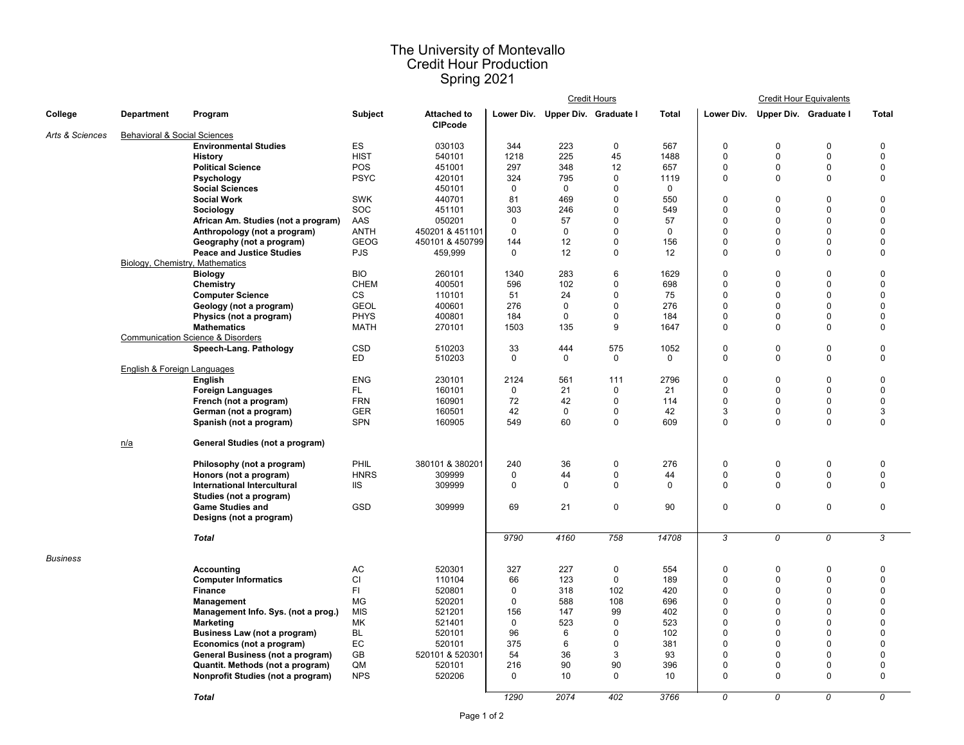## The University of Montevallo Credit Hour Production Spring 2021

|                 |                                         |                                              |                |                                      | <b>Credit Hours</b> |                                  |              |              | <b>Credit Hour Equivalents</b> |                |                              |                  |
|-----------------|-----------------------------------------|----------------------------------------------|----------------|--------------------------------------|---------------------|----------------------------------|--------------|--------------|--------------------------------|----------------|------------------------------|------------------|
| <b>College</b>  | <b>Department</b>                       | Program                                      | <b>Subject</b> | <b>Attached to</b><br><b>CIPcode</b> |                     | Lower Div. Upper Div. Graduate I |              | <b>Total</b> | Lower Div.                     |                | <b>Upper Div. Graduate I</b> | <b>Total</b>     |
| Arts & Sciences | <b>Behavioral &amp; Social Sciences</b> |                                              |                |                                      |                     |                                  |              |              |                                |                |                              |                  |
|                 |                                         | <b>Environmental Studies</b>                 | ES             | 030103                               | 344                 | 223                              | $\mathbf 0$  | 567          | $\pmb{0}$                      | $\mathbf 0$    | 0                            | $\boldsymbol{0}$ |
|                 |                                         | <b>History</b>                               | <b>HIST</b>    | 540101                               | 1218                | 225                              | 45           | 1488         | $\pmb{0}$                      | $\mathbf 0$    | $\pmb{0}$                    | $\pmb{0}$        |
|                 |                                         | <b>Political Science</b>                     | <b>POS</b>     | 451001                               | 297                 | 348                              | 12           | 657          | $\mathbf 0$                    | $\mathbf 0$    | 0                            | $\overline{0}$   |
|                 |                                         | <b>Psychology</b>                            | <b>PSYC</b>    | 420101                               | 324                 | 795                              | 0            | 1119         | $\mathbf 0$                    | $\mathbf 0$    | $\mathbf 0$                  | $\mathbf 0$      |
|                 |                                         | <b>Social Sciences</b>                       |                | 450101                               | 0                   | 0                                | 0            | $\Omega$     |                                |                |                              |                  |
|                 |                                         | <b>Social Work</b>                           | <b>SWK</b>     | 440701                               | 81                  | 469                              | 0            | 550          | $\boldsymbol{0}$               | 0              | 0                            | 0                |
|                 |                                         | <b>Sociology</b>                             | <b>SOC</b>     | 451101                               | 303                 | 246                              | 0            | 549          | $\pmb{0}$                      | 0              | 0                            | $\mathbf 0$      |
|                 |                                         | African Am. Studies (not a program)          | AAS            | 050201                               | 0                   | 57                               | $\mathbf{0}$ | 57           | $\mathbf 0$                    | $\Omega$       | $\Omega$                     | $\Omega$         |
|                 |                                         | Anthropology (not a program)                 | <b>ANTH</b>    | 450201 & 451101                      | $\mathbf{0}$        | 0                                | $\mathbf{0}$ | $\mathbf{0}$ | $\mathbf 0$                    | $\Omega$       | 0                            | $\mathbf 0$      |
|                 |                                         | Geography (not a program)                    | <b>GEOG</b>    | 450101 & 450799                      | 144                 | 12                               | $\mathbf{0}$ | 156          | $\mathbf 0$                    | $\Omega$       | 0                            | $\mathbf 0$      |
|                 |                                         | <b>Peace and Justice Studies</b>             | <b>PJS</b>     | 459,999                              | 0                   | 12                               | $\mathbf 0$  | 12           | $\mathbf 0$                    | $\overline{0}$ | $\mathbf 0$                  | $\mathbf 0$      |
|                 | Biology, Chemistry, Mathematics         |                                              |                |                                      |                     |                                  |              |              |                                |                |                              |                  |
|                 |                                         | <b>Biology</b>                               | <b>BIO</b>     | 260101                               | 1340                | 283                              | 6            | 1629         | $\boldsymbol{0}$               | 0              | 0                            | 0                |
|                 |                                         | <b>Chemistry</b>                             | <b>CHEM</b>    | 400501                               | 596                 | 102                              | 0            | 698          | $\mathbf 0$                    | $\Omega$       | 0                            | $\mathbf 0$      |
|                 |                                         | <b>Computer Science</b>                      | <b>CS</b>      | 110101                               | 51                  | 24                               | 0            | 75           | $\mathbf 0$                    |                | 0                            | $\overline{0}$   |
|                 |                                         | Geology (not a program)                      | <b>GEOL</b>    | 400601                               | 276                 | 0                                | 0            | 276          | $\mathbf 0$                    |                | 0                            | $\overline{0}$   |
|                 |                                         | Physics (not a program)                      | <b>PHYS</b>    | 400801                               | 184                 | 0                                | $\mathbf{0}$ | 184          | $\mathbf 0$                    | $\Omega$       | 0                            | $\overline{0}$   |
|                 |                                         | <b>Mathematics</b>                           | <b>MATH</b>    | 270101                               | 1503                | 135                              | 9            | 1647         | $\mathbf 0$                    | $\mathbf 0$    | $\mathbf 0$                  | $\mathbf 0$      |
|                 |                                         | <b>Communication Science &amp; Disorders</b> |                |                                      |                     |                                  |              |              |                                |                |                              |                  |
|                 |                                         | Speech-Lang. Pathology                       | <b>CSD</b>     | 510203                               | 33                  | 444                              | 575          | 1052         | $\pmb{0}$                      | $\pmb{0}$      | $\pmb{0}$                    | $\pmb{0}$        |
|                 |                                         |                                              | ED             | 510203                               | 0                   | 0                                | $\mathbf 0$  | 0            | $\mathbf 0$                    | $\mathbf 0$    | $\mathbf 0$                  | $\mathbf 0$      |
|                 | <b>English &amp; Foreign Languages</b>  |                                              |                |                                      |                     |                                  |              |              |                                |                |                              |                  |
|                 |                                         | <b>English</b>                               | <b>ENG</b>     | 230101                               | 2124                | 561                              | 111          | 2796         | $\pmb{0}$                      | $\mathbf 0$    | 0                            | $\mathbf 0$      |
|                 |                                         | <b>Foreign Languages</b>                     | FL.            | 160101                               | 0                   | 21                               | 0            | 21           | $\mathbf 0$                    | $\mathbf 0$    | 0                            | $\overline{0}$   |
|                 |                                         | French (not a program)                       | <b>FRN</b>     | 160901                               | 72                  | 42                               | 0            | 114          | $\pmb{0}$                      | $\Omega$       | 0                            | $\overline{0}$   |
|                 |                                         | German (not a program)                       | <b>GER</b>     | 160501                               | 42                  | 0                                | 0            | 42           | $\sqrt{3}$                     | 0              | 0                            | $\mathbf{3}$     |
|                 |                                         | Spanish (not a program)                      | <b>SPN</b>     | 160905                               | 549                 | 60                               | $\mathbf 0$  | 609          | $\mathbf 0$                    | $\mathbf 0$    | $\mathbf 0$                  | $\mathbf 0$      |
|                 |                                         |                                              |                |                                      |                     |                                  |              |              |                                |                |                              |                  |
|                 | n/a                                     | <b>General Studies (not a program)</b>       |                |                                      |                     |                                  |              |              |                                |                |                              |                  |
|                 |                                         | Philosophy (not a program)                   | PHIL           | 380101 & 380201                      | 240                 | 36                               | 0            | 276          | 0                              | 0              | 0                            | 0                |
|                 |                                         | Honors (not a program)                       | <b>HNRS</b>    | 309999                               | 0                   | 44                               | 0            | 44           | $\mathbf{0}$                   | $\mathbf 0$    | $\mathbf 0$                  | $\mathbf 0$      |
|                 |                                         | International Intercultural                  | IIS            | 309999                               | 0                   | 0                                | 0            |              | 0                              | 0              | 0                            |                  |
|                 |                                         | Studies (not a program)                      |                |                                      |                     |                                  |              |              |                                |                |                              |                  |
|                 |                                         | <b>Game Studies and</b>                      | <b>GSD</b>     | 309999                               | 69                  | 21                               | $\mathbf 0$  | 90           | $\mathbf 0$                    | $\mathbf 0$    | $\pmb{0}$                    | 0                |
|                 |                                         | Designs (not a program)                      |                |                                      |                     |                                  |              |              |                                |                |                              |                  |
|                 |                                         |                                              |                |                                      |                     |                                  |              |              |                                |                |                              |                  |
|                 |                                         | <b>Total</b>                                 |                |                                      | 9790                | 4160                             | 758          | 14708        | 3                              | 0              | 0                            | 3                |
| <b>Business</b> |                                         |                                              |                |                                      |                     |                                  |              |              |                                |                |                              |                  |
|                 |                                         | <b>Accounting</b>                            | AC             | 520301                               | 327                 | 227                              | 0            | 554          | 0                              | 0              | 0                            |                  |
|                 |                                         | <b>Computer Informatics</b>                  | CI             | 110104                               | 66                  | 123                              | $\mathbf{0}$ | 189          | $\Omega$                       |                | 0                            |                  |
|                 |                                         | <b>Finance</b>                               | FI             | 520801                               | 0                   | 318                              | 102          | 420          | $\Omega$                       |                | 0                            |                  |
|                 |                                         | <b>Management</b>                            | MG             | 520201                               | 0                   | 588                              | 108          | 696          | $\mathbf 0$                    |                |                              |                  |
|                 |                                         | Management Info. Sys. (not a prog.)          | <b>MIS</b>     | 521201                               | 156                 | 147                              | 99           | 402          | $\Omega$                       |                |                              |                  |
|                 |                                         | <b>Marketing</b>                             | МK             | 521401                               | 0                   | 523                              | 0            | 523          | $\overline{0}$                 |                |                              |                  |
|                 |                                         | <b>Business Law (not a program)</b>          | <b>BL</b>      | 520101                               | 96                  | 6                                |              | 102          | $\mathbf 0$                    |                |                              |                  |
|                 |                                         | Economics (not a program)                    | EC             | 520101                               | 375                 | 6                                |              | 381          | $\mathbf 0$                    |                | 0                            |                  |
|                 |                                         | <b>General Business (not a program)</b>      | GB             | 520101 & 520301                      | 54                  | 36                               | 3            | 93           | $\boldsymbol{0}$               |                |                              |                  |
|                 |                                         | Quantit. Methods (not a program)             | QM             | 520101                               | 216                 | 90                               | 90           | 396          | $\mathbf 0$                    |                | 0                            |                  |
|                 |                                         | Nonprofit Studies (not a program)            | <b>NPS</b>     | 520206                               | 0                   | 10                               | 0            | 10           | $\mathbf 0$                    | $\Omega$       | $\mathbf 0$                  | $\mathbf 0$      |
|                 |                                         |                                              |                |                                      |                     |                                  |              |              |                                |                |                              |                  |
|                 |                                         | <b>Total</b>                                 |                |                                      | 1290                | 2074                             | 402          | 3766         | 0                              | 0              | 0                            | 0                |